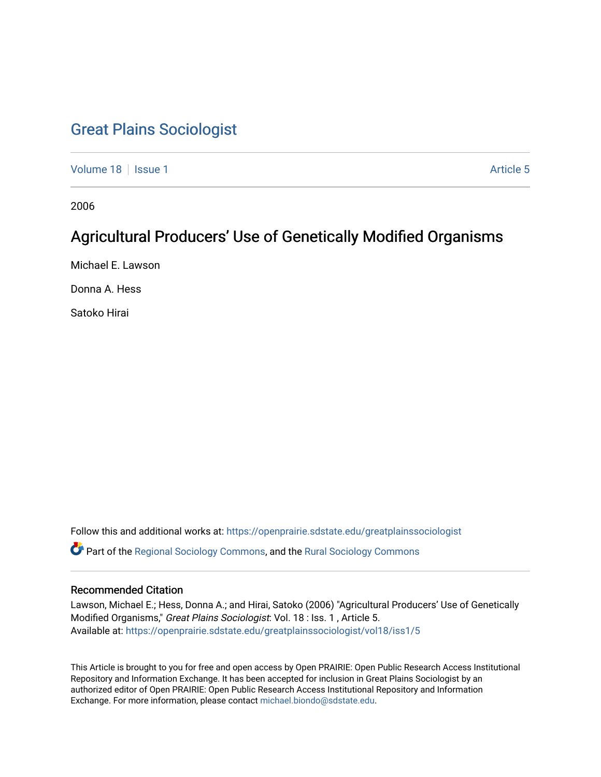## [Great Plains Sociologist](https://openprairie.sdstate.edu/greatplainssociologist)

[Volume 18](https://openprairie.sdstate.edu/greatplainssociologist/vol18) Setus 1 Article 5

2006

# Agricultural Producers' Use of Genetically Modified Organisms

Michael E. Lawson

Donna A. Hess

Satoko Hirai

Follow this and additional works at: [https://openprairie.sdstate.edu/greatplainssociologist](https://openprairie.sdstate.edu/greatplainssociologist?utm_source=openprairie.sdstate.edu%2Fgreatplainssociologist%2Fvol18%2Fiss1%2F5&utm_medium=PDF&utm_campaign=PDFCoverPages)  Part of the [Regional Sociology Commons](http://network.bepress.com/hgg/discipline/427?utm_source=openprairie.sdstate.edu%2Fgreatplainssociologist%2Fvol18%2Fiss1%2F5&utm_medium=PDF&utm_campaign=PDFCoverPages), and the [Rural Sociology Commons](http://network.bepress.com/hgg/discipline/428?utm_source=openprairie.sdstate.edu%2Fgreatplainssociologist%2Fvol18%2Fiss1%2F5&utm_medium=PDF&utm_campaign=PDFCoverPages) 

#### Recommended Citation

Lawson, Michael E.; Hess, Donna A.; and Hirai, Satoko (2006) "Agricultural Producers' Use of Genetically Modified Organisms," Great Plains Sociologist: Vol. 18 : Iss. 1 , Article 5. Available at: [https://openprairie.sdstate.edu/greatplainssociologist/vol18/iss1/5](https://openprairie.sdstate.edu/greatplainssociologist/vol18/iss1/5?utm_source=openprairie.sdstate.edu%2Fgreatplainssociologist%2Fvol18%2Fiss1%2F5&utm_medium=PDF&utm_campaign=PDFCoverPages)

This Article is brought to you for free and open access by Open PRAIRIE: Open Public Research Access Institutional Repository and Information Exchange. It has been accepted for inclusion in Great Plains Sociologist by an authorized editor of Open PRAIRIE: Open Public Research Access Institutional Repository and Information Exchange. For more information, please contact [michael.biondo@sdstate.edu.](mailto:michael.biondo@sdstate.edu)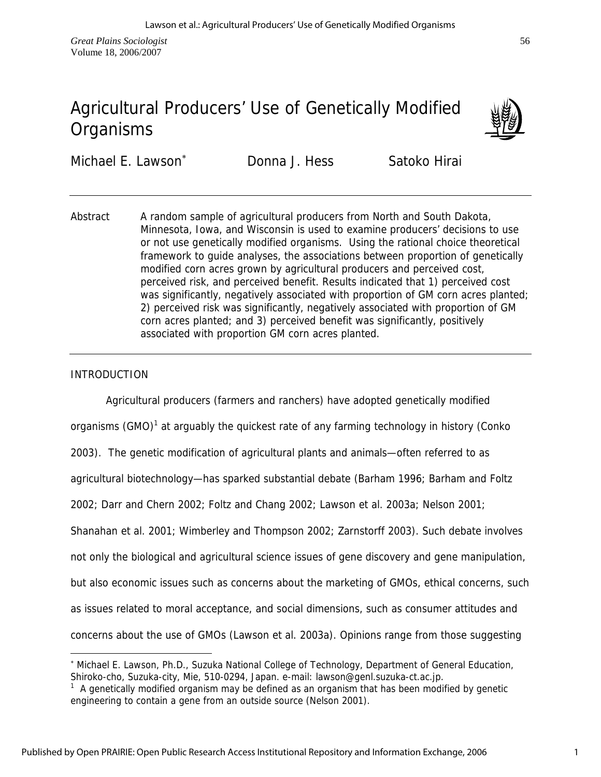# Agricultural Producers' Use of Genetically Modified **Organisms**



Michael E. Lawson<sup>\*</sup> Donna J. Hess Satoko Hirai

Abstract A random sample of agricultural producers from North and South Dakota, Minnesota, Iowa, and Wisconsin is used to examine producers' decisions to use or not use genetically modified organisms. Using the rational choice theoretical framework to guide analyses, the associations between proportion of genetically modified corn acres grown by agricultural producers and perceived cost, perceived risk, and perceived benefit. Results indicated that 1) perceived cost was significantly, negatively associated with proportion of GM corn acres planted; 2) perceived risk was significantly, negatively associated with proportion of GM corn acres planted; and 3) perceived benefit was significantly, positively associated with proportion GM corn acres planted.

## INTRODUCTION

 $\overline{a}$ 

Agricultural producers (farmers and ranchers) have adopted genetically modified organisms (GMO)<sup>1</sup> at arguably the quickest rate of any farming technology in history (Conko 2003). The genetic modification of agricultural plants and animals—often referred to as agricultural biotechnology—has sparked substantial debate (Barham 1996; Barham and Foltz 2002; Darr and Chern 2002; Foltz and Chang 2002; Lawson et al. 2003a; Nelson 2001; Shanahan et al. 2001; Wimberley and Thompson 2002; Zarnstorff 2003). Such debate involves not only the biological and agricultural science issues of gene discovery and gene manipulation, but also economic issues such as concerns about the marketing of GMOs, ethical concerns, such as issues related to moral acceptance, and social dimensions, such as consumer attitudes and concerns about the use of GMOs (Lawson et al. 2003a). Opinions range from those suggesting

<sup>∗</sup> Michael E. Lawson, Ph.D., Suzuka National College of Technology, Department of General Education, Shiroko-cho, Suzuka-city, Mie, 510-0294, Japan. e-mail: lawson@genl.suzuka-ct.ac.jp.

 $1$  A genetically modified organism may be defined as an organism that has been modified by genetic engineering to contain a gene from an outside source (Nelson 2001).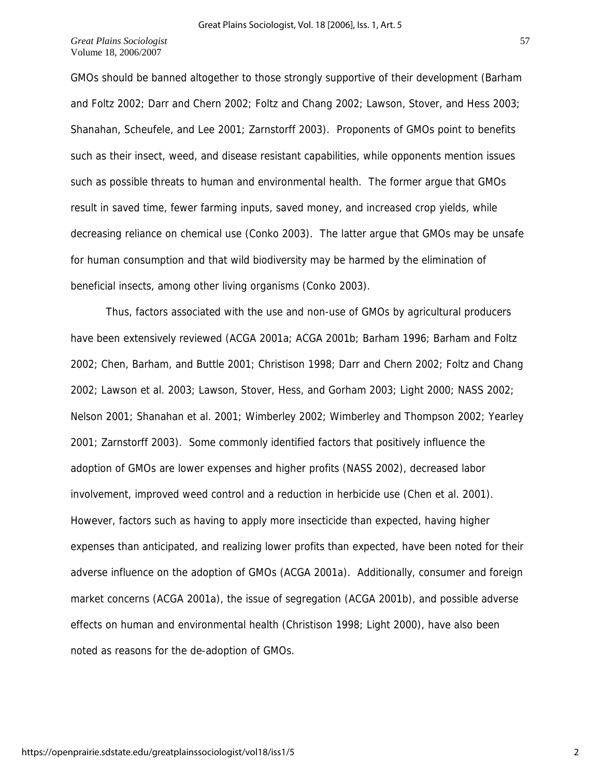GMOs should be banned altogether to those strongly supportive of their development (Barham and Foltz 2002; Darr and Chern 2002; Foltz and Chang 2002; Lawson, Stover, and Hess 2003; Shanahan, Scheufele, and Lee 2001; Zarnstorff 2003). Proponents of GMOs point to benefits such as their insect, weed, and disease resistant capabilities, while opponents mention issues such as possible threats to human and environmental health. The former argue that GMOs result in saved time, fewer farming inputs, saved money, and increased crop yields, while decreasing reliance on chemical use (Conko 2003). The latter argue that GMOs may be unsafe for human consumption and that wild biodiversity may be harmed by the elimination of beneficial insects, among other living organisms (Conko 2003).

 Thus, factors associated with the use and non-use of GMOs by agricultural producers have been extensively reviewed (ACGA 2001a; ACGA 2001b; Barham 1996; Barham and Foltz 2002; Chen, Barham, and Buttle 2001; Christison 1998; Darr and Chern 2002; Foltz and Chang 2002; Lawson et al. 2003; Lawson, Stover, Hess, and Gorham 2003; Light 2000; NASS 2002; Nelson 2001; Shanahan et al. 2001; Wimberley 2002; Wimberley and Thompson 2002; Yearley 2001; Zarnstorff 2003). Some commonly identified factors that positively influence the adoption of GMOs are lower expenses and higher profits (NASS 2002), decreased labor involvement, improved weed control and a reduction in herbicide use (Chen et al. 2001). However, factors such as having to apply more insecticide than expected, having higher expenses than anticipated, and realizing lower profits than expected, have been noted for their adverse influence on the adoption of GMOs (ACGA 2001a). Additionally, consumer and foreign market concerns (ACGA 2001a), the issue of segregation (ACGA 2001b), and possible adverse effects on human and environmental health (Christison 1998; Light 2000), have also been noted as reasons for the de-adoption of GMOs.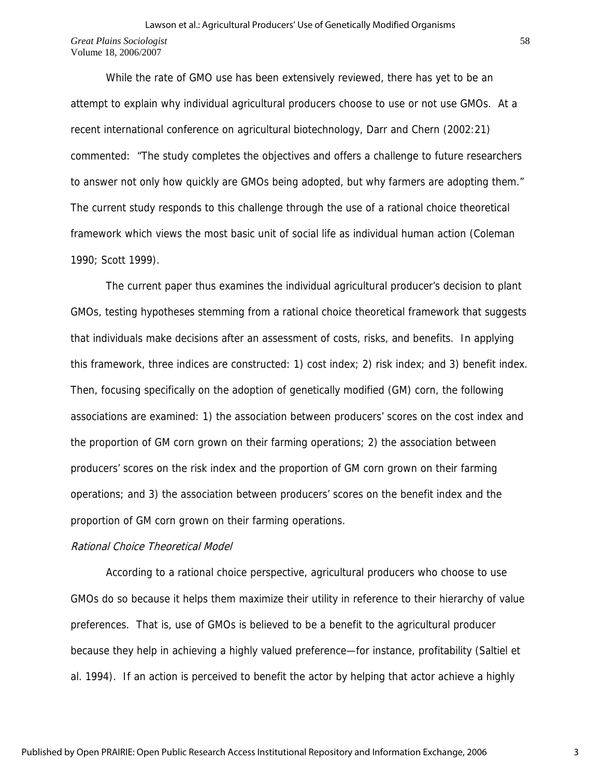## *Great Plains Sociologist*  Volume 18, 2006/2007 Lawson et al.: Agricultural Producers' Use of Genetically Modified Organisms

 While the rate of GMO use has been extensively reviewed, there has yet to be an attempt to explain why individual agricultural producers choose to use or not use GMOs. At a recent international conference on agricultural biotechnology, Darr and Chern (2002:21) commented: "The study completes the objectives and offers a challenge to future researchers to answer not only how quickly are GMOs being adopted, but why farmers are adopting them." The current study responds to this challenge through the use of a rational choice theoretical framework which views the most basic unit of social life as individual human action (Coleman 1990; Scott 1999).

 The current paper thus examines the individual agricultural producer's decision to plant GMOs, testing hypotheses stemming from a rational choice theoretical framework that suggests that individuals make decisions after an assessment of costs, risks, and benefits. In applying this framework, three indices are constructed: 1) cost index; 2) risk index; and 3) benefit index. Then, focusing specifically on the adoption of genetically modified (GM) corn, the following associations are examined: 1) the association between producers' scores on the cost index and the proportion of GM corn grown on their farming operations; 2) the association between producers' scores on the risk index and the proportion of GM corn grown on their farming operations; and 3) the association between producers' scores on the benefit index and the proportion of GM corn grown on their farming operations.

#### Rational Choice Theoretical Model

 According to a rational choice perspective, agricultural producers who choose to use GMOs do so because it helps them maximize their utility in reference to their hierarchy of value preferences. That is, use of GMOs is believed to be a benefit to the agricultural producer because they help in achieving a highly valued preference—for instance, profitability (Saltiel et al. 1994). If an action is perceived to benefit the actor by helping that actor achieve a highly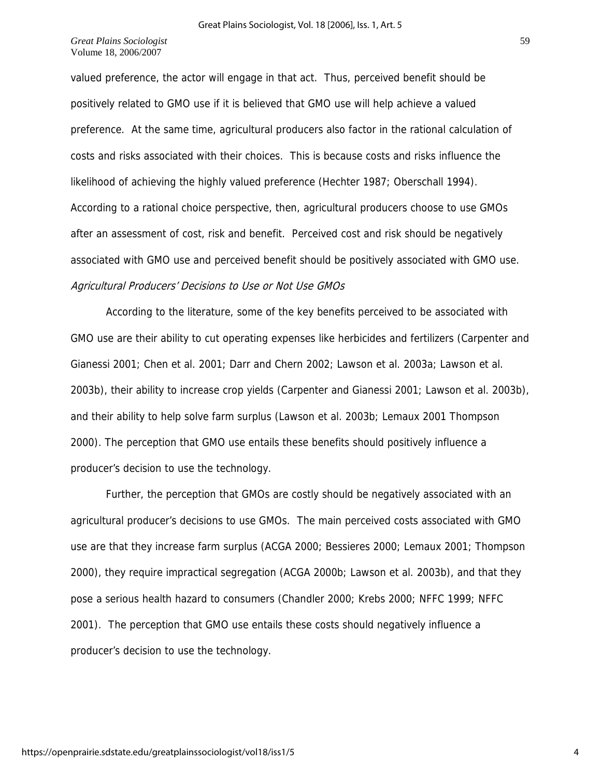valued preference, the actor will engage in that act. Thus, perceived benefit should be positively related to GMO use if it is believed that GMO use will help achieve a valued preference. At the same time, agricultural producers also factor in the rational calculation of costs and risks associated with their choices. This is because costs and risks influence the likelihood of achieving the highly valued preference (Hechter 1987; Oberschall 1994). According to a rational choice perspective, then, agricultural producers choose to use GMOs after an assessment of cost, risk and benefit. Perceived cost and risk should be negatively associated with GMO use and perceived benefit should be positively associated with GMO use. Agricultural Producers' Decisions to Use or Not Use GMOs

 According to the literature, some of the key benefits perceived to be associated with GMO use are their ability to cut operating expenses like herbicides and fertilizers (Carpenter and Gianessi 2001; Chen et al. 2001; Darr and Chern 2002; Lawson et al. 2003a; Lawson et al. 2003b), their ability to increase crop yields (Carpenter and Gianessi 2001; Lawson et al. 2003b), and their ability to help solve farm surplus (Lawson et al. 2003b; Lemaux 2001 Thompson 2000). The perception that GMO use entails these benefits should positively influence a producer's decision to use the technology.

 Further, the perception that GMOs are costly should be negatively associated with an agricultural producer's decisions to use GMOs. The main perceived costs associated with GMO use are that they increase farm surplus (ACGA 2000; Bessieres 2000; Lemaux 2001; Thompson 2000), they require impractical segregation (ACGA 2000b; Lawson et al. 2003b), and that they pose a serious health hazard to consumers (Chandler 2000; Krebs 2000; NFFC 1999; NFFC 2001). The perception that GMO use entails these costs should negatively influence a producer's decision to use the technology.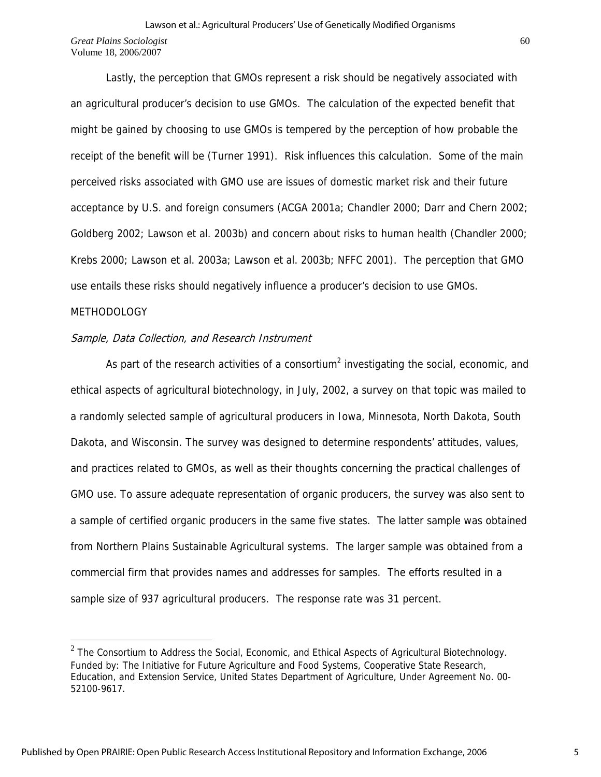Lastly, the perception that GMOs represent a risk should be negatively associated with an agricultural producer's decision to use GMOs. The calculation of the expected benefit that might be gained by choosing to use GMOs is tempered by the perception of how probable the receipt of the benefit will be (Turner 1991). Risk influences this calculation. Some of the main perceived risks associated with GMO use are issues of domestic market risk and their future acceptance by U.S. and foreign consumers (ACGA 2001a; Chandler 2000; Darr and Chern 2002; Goldberg 2002; Lawson et al. 2003b) and concern about risks to human health (Chandler 2000; Krebs 2000; Lawson et al. 2003a; Lawson et al. 2003b; NFFC 2001). The perception that GMO use entails these risks should negatively influence a producer's decision to use GMOs.

#### METHODOLOGY

 $\overline{a}$ 

#### Sample, Data Collection, and Research Instrument

As part of the research activities of a consortium<sup>2</sup> investigating the social, economic, and ethical aspects of agricultural biotechnology, in July, 2002, a survey on that topic was mailed to a randomly selected sample of agricultural producers in Iowa, Minnesota, North Dakota, South Dakota, and Wisconsin. The survey was designed to determine respondents' attitudes, values, and practices related to GMOs, as well as their thoughts concerning the practical challenges of GMO use. To assure adequate representation of organic producers, the survey was also sent to a sample of certified organic producers in the same five states. The latter sample was obtained from Northern Plains Sustainable Agricultural systems. The larger sample was obtained from a commercial firm that provides names and addresses for samples. The efforts resulted in a sample size of 937 agricultural producers. The response rate was 31 percent.

 $2$  The Consortium to Address the Social, Economic, and Ethical Aspects of Agricultural Biotechnology. Funded by: The Initiative for Future Agriculture and Food Systems, Cooperative State Research, Education, and Extension Service, United States Department of Agriculture, Under Agreement No. 00- 52100-9617.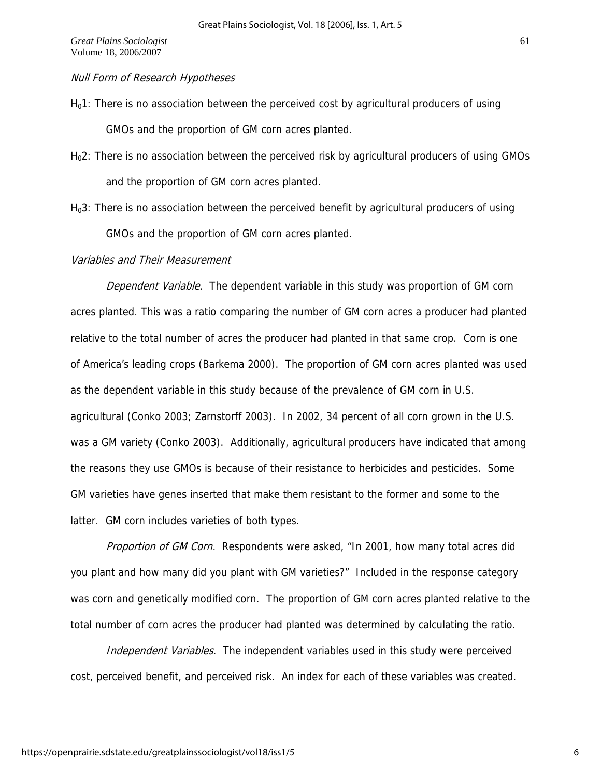## Null Form of Research Hypotheses

- $H<sub>0</sub>1$ : There is no association between the perceived cost by agricultural producers of using GMOs and the proportion of GM corn acres planted.
- $H<sub>0</sub>2$ : There is no association between the perceived risk by agricultural producers of using GMOs and the proportion of GM corn acres planted.
- H<sub>0</sub>3: There is no association between the perceived benefit by agricultural producers of using GMOs and the proportion of GM corn acres planted.

## Variables and Their Measurement

Dependent Variable. The dependent variable in this study was proportion of GM corn acres planted. This was a ratio comparing the number of GM corn acres a producer had planted relative to the total number of acres the producer had planted in that same crop. Corn is one of America's leading crops (Barkema 2000). The proportion of GM corn acres planted was used as the dependent variable in this study because of the prevalence of GM corn in U.S. agricultural (Conko 2003; Zarnstorff 2003). In 2002, 34 percent of all corn grown in the U.S. was a GM variety (Conko 2003). Additionally, agricultural producers have indicated that among the reasons they use GMOs is because of their resistance to herbicides and pesticides. Some GM varieties have genes inserted that make them resistant to the former and some to the latter. GM corn includes varieties of both types.

Proportion of GM Corn. Respondents were asked, "In 2001, how many total acres did you plant and how many did you plant with GM varieties?" Included in the response category was corn and genetically modified corn. The proportion of GM corn acres planted relative to the total number of corn acres the producer had planted was determined by calculating the ratio.

Independent Variables. The independent variables used in this study were perceived cost, perceived benefit, and perceived risk. An index for each of these variables was created.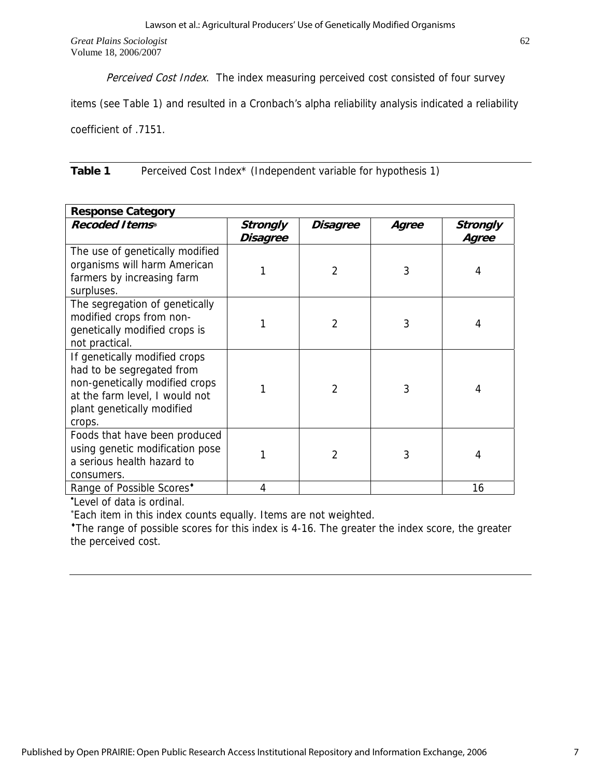Perceived Cost Index. The index measuring perceived cost consisted of four survey

items (see Table 1) and resulted in a Cronbach's alpha reliability analysis indicated a reliability

coefficient of .7151.

**Table 1** Perceived Cost Index\* (Independent variable for hypothesis 1)

| <b>Response Category</b>                                                                                                                                               |                      |                 |       |                   |  |  |  |
|------------------------------------------------------------------------------------------------------------------------------------------------------------------------|----------------------|-----------------|-------|-------------------|--|--|--|
| <b>Recoded Items*</b>                                                                                                                                                  | Strongly<br>Disagree | <b>Disagree</b> | Agree | Strongly<br>Agree |  |  |  |
| The use of genetically modified<br>organisms will harm American<br>farmers by increasing farm<br>surpluses.                                                            |                      | $\overline{2}$  | 3     | 4                 |  |  |  |
| The segregation of genetically<br>modified crops from non-<br>genetically modified crops is<br>not practical.                                                          |                      | $\overline{2}$  | 3     | 4                 |  |  |  |
| If genetically modified crops<br>had to be segregated from<br>non-genetically modified crops<br>at the farm level, I would not<br>plant genetically modified<br>crops. |                      | $\overline{2}$  | 3     | 4                 |  |  |  |
| Foods that have been produced<br>using genetic modification pose<br>a serious health hazard to<br>consumers.                                                           |                      | $\mathfrak{D}$  | 3     | 4                 |  |  |  |
| Range of Possible Scores*                                                                                                                                              |                      |                 |       | 16                |  |  |  |

• Level of data is ordinal.

∗ Each item in this index counts equally. Items are not weighted.

\*The range of possible scores for this index is 4-16. The greater the index score, the greater the perceived cost.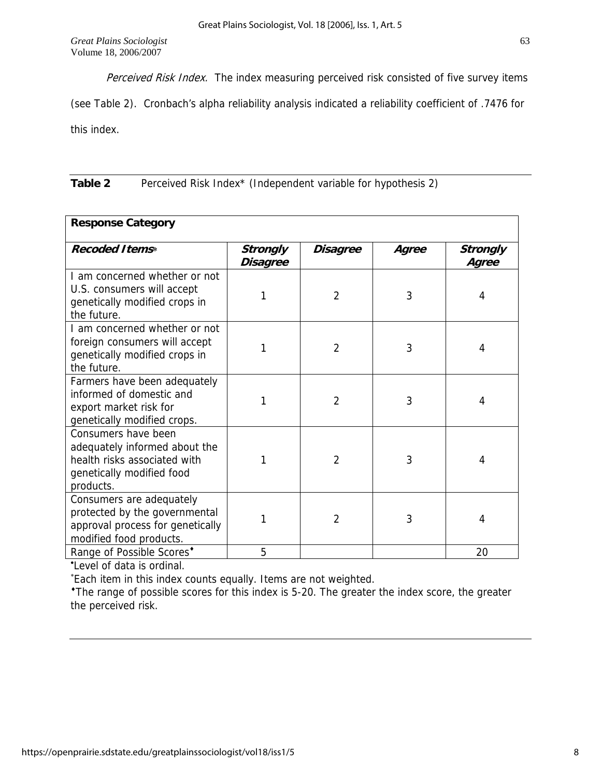Perceived Risk Index. The index measuring perceived risk consisted of five survey items

(see Table 2). Cronbach's alpha reliability analysis indicated a reliability coefficient of .7476 for this index.

**Table 2** Perceived Risk Index\* (Independent variable for hypothesis 2)

| <b>Response Category</b>                                                                                                       |                             |                |       |                          |  |  |  |
|--------------------------------------------------------------------------------------------------------------------------------|-----------------------------|----------------|-------|--------------------------|--|--|--|
| <b>Recoded Items*</b>                                                                                                          | <b>Strongly</b><br>Disagree | Disagree       | Agree | <b>Strongly</b><br>Agree |  |  |  |
| I am concerned whether or not<br>U.S. consumers will accept<br>genetically modified crops in<br>the future.                    | 1                           | $\overline{2}$ | 3     | 4                        |  |  |  |
| I am concerned whether or not<br>foreign consumers will accept<br>genetically modified crops in<br>the future.                 | 1                           | $\overline{2}$ | 3     | 4                        |  |  |  |
| Farmers have been adequately<br>informed of domestic and<br>export market risk for<br>genetically modified crops.              | 1                           | $\overline{2}$ | 3     | 4                        |  |  |  |
| Consumers have been<br>adequately informed about the<br>health risks associated with<br>genetically modified food<br>products. | 1                           | $\overline{2}$ | 3     | 4                        |  |  |  |
| Consumers are adequately<br>protected by the governmental<br>approval process for genetically<br>modified food products.       | 1                           | $\overline{2}$ | 3     | 4                        |  |  |  |
| Range of Possible Scores*                                                                                                      | 5                           |                |       | 20                       |  |  |  |

• Level of data is ordinal.

∗ Each item in this index counts equally. Items are not weighted.

♦The range of possible scores for this index is 5-20. The greater the index score, the greater the perceived risk.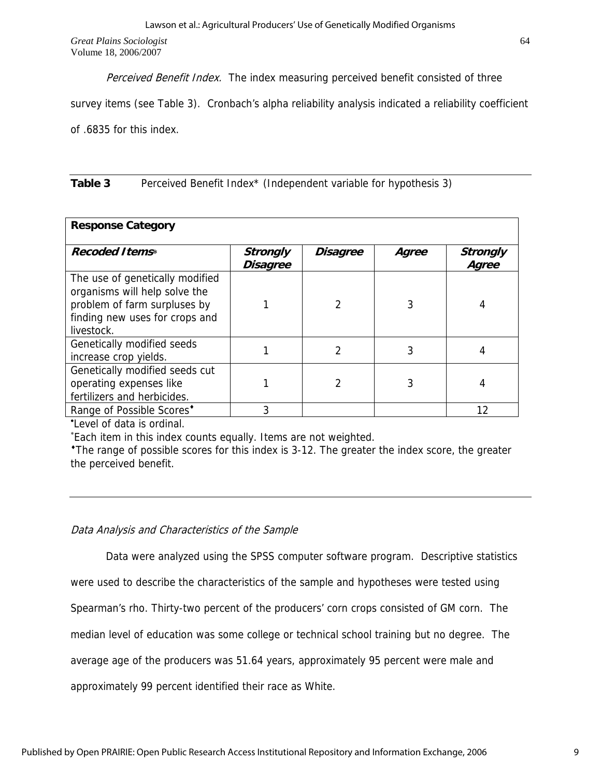Perceived Benefit Index. The index measuring perceived benefit consisted of three

survey items (see Table 3). Cronbach's alpha reliability analysis indicated a reliability coefficient of .6835 for this index.

**Table 3** Perceived Benefit Index\* (Independent variable for hypothesis 3)

| <b>Response Category</b>                                                                                                                         |                                    |                 |       |                          |  |  |  |  |
|--------------------------------------------------------------------------------------------------------------------------------------------------|------------------------------------|-----------------|-------|--------------------------|--|--|--|--|
| <b>Recoded Items*</b>                                                                                                                            | <b>Strongly</b><br><b>Disagree</b> | <b>Disagree</b> | Agree | <b>Strongly</b><br>Agree |  |  |  |  |
| The use of genetically modified<br>organisms will help solve the<br>problem of farm surpluses by<br>finding new uses for crops and<br>livestock. |                                    |                 | 3     |                          |  |  |  |  |
| Genetically modified seeds<br>increase crop yields.                                                                                              |                                    |                 | 3     |                          |  |  |  |  |
| Genetically modified seeds cut<br>operating expenses like<br>fertilizers and herbicides.                                                         |                                    |                 |       |                          |  |  |  |  |
| Range of Possible Scores <sup>*</sup>                                                                                                            | 3                                  |                 |       | 12                       |  |  |  |  |

• Level of data is ordinal.

∗ Each item in this index counts equally. Items are not weighted.

♦The range of possible scores for this index is 3-12. The greater the index score, the greater the perceived benefit.

## Data Analysis and Characteristics of the Sample

 Data were analyzed using the SPSS computer software program. Descriptive statistics were used to describe the characteristics of the sample and hypotheses were tested using Spearman's rho. Thirty-two percent of the producers' corn crops consisted of GM corn. The median level of education was some college or technical school training but no degree. The average age of the producers was 51.64 years, approximately 95 percent were male and approximately 99 percent identified their race as White.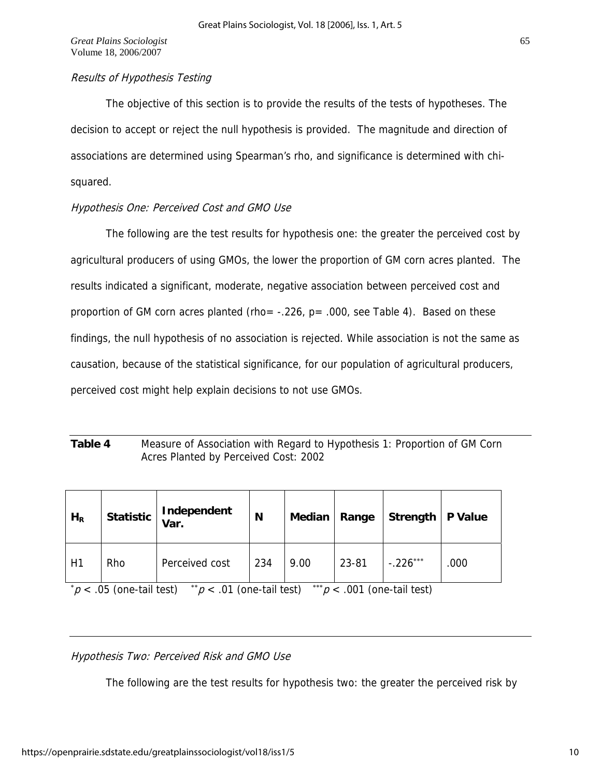## Results of Hypothesis Testing

The objective of this section is to provide the results of the tests of hypotheses. The decision to accept or reject the null hypothesis is provided. The magnitude and direction of associations are determined using Spearman's rho, and significance is determined with chisquared.

## Hypothesis One: Perceived Cost and GMO Use

 The following are the test results for hypothesis one: the greater the perceived cost by agricultural producers of using GMOs, the lower the proportion of GM corn acres planted. The results indicated a significant, moderate, negative association between perceived cost and proportion of GM corn acres planted (rho=  $-.226$ , p= .000, see Table 4). Based on these findings, the null hypothesis of no association is rejected. While association is not the same as causation, because of the statistical significance, for our population of agricultural producers, perceived cost might help explain decisions to not use GMOs.

## **Table 4** Measure of Association with Regard to Hypothesis 1: Proportion of GM Corn Acres Planted by Perceived Cost: 2002

| $H_R$                                                                          |     | Statistic   Independent | N   | Median   Range |       | Strength   P Value |      |
|--------------------------------------------------------------------------------|-----|-------------------------|-----|----------------|-------|--------------------|------|
| H1                                                                             | Rho | Perceived cost          | 234 | 9.00           | 23-81 | $-.226***$         | .000 |
| $p$ < .05 (one-tail test) $p$ < .01 (one-tail test) $p$ < .001 (one-tail test) |     |                         |     |                |       |                    |      |

## Hypothesis Two: Perceived Risk and GMO Use

The following are the test results for hypothesis two: the greater the perceived risk by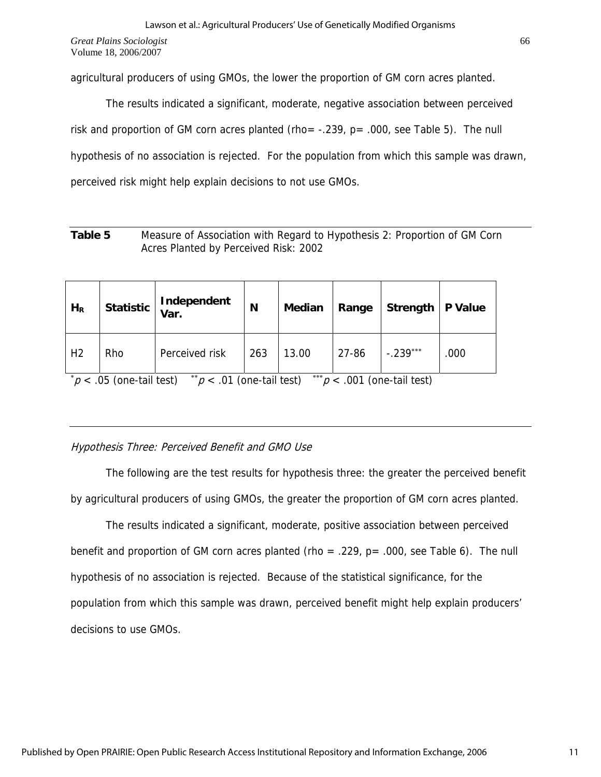agricultural producers of using GMOs, the lower the proportion of GM corn acres planted.

 The results indicated a significant, moderate, negative association between perceived risk and proportion of GM corn acres planted (rho=  $-.239$ ,  $p= .000$ , see Table 5). The null hypothesis of no association is rejected. For the population from which this sample was drawn, perceived risk might help explain decisions to not use GMOs.

| Table 5 | Measure of Association with Regard to Hypothesis 2: Proportion of GM Corn |
|---------|---------------------------------------------------------------------------|
|         | Acres Planted by Perceived Risk: 2002                                     |

| $H_R$          |     | Statistic   Independent                                                                                              | N   | <b>Median</b> | Range | Strength   P Value |      |
|----------------|-----|----------------------------------------------------------------------------------------------------------------------|-----|---------------|-------|--------------------|------|
| H <sub>2</sub> | Rho | Perceived risk                                                                                                       | 263 | 13.00         | 27-86 | $-.239***$         | .000 |
|                |     | * $\sim$ 0 $\sim$ $\sim$ 1.9 1.1.1 $\sim$ $\sim$ $\sim$ 04 $\sim$ 1.9 1.1.1 $\sim$ 1.8 $\sim$ 004 $\sim$ 1.9 1.1.1.1 |     |               |       |                    |      |

 $p$  < .05 (one-tail test)  $p$  < .01 (one-tail test)  $p$  < .001 (one-tail test)

## Hypothesis Three: Perceived Benefit and GMO Use

 The following are the test results for hypothesis three: the greater the perceived benefit by agricultural producers of using GMOs, the greater the proportion of GM corn acres planted.

 The results indicated a significant, moderate, positive association between perceived benefit and proportion of GM corn acres planted (rho = .229,  $p = .000$ , see Table 6). The null hypothesis of no association is rejected. Because of the statistical significance, for the population from which this sample was drawn, perceived benefit might help explain producers' decisions to use GMOs.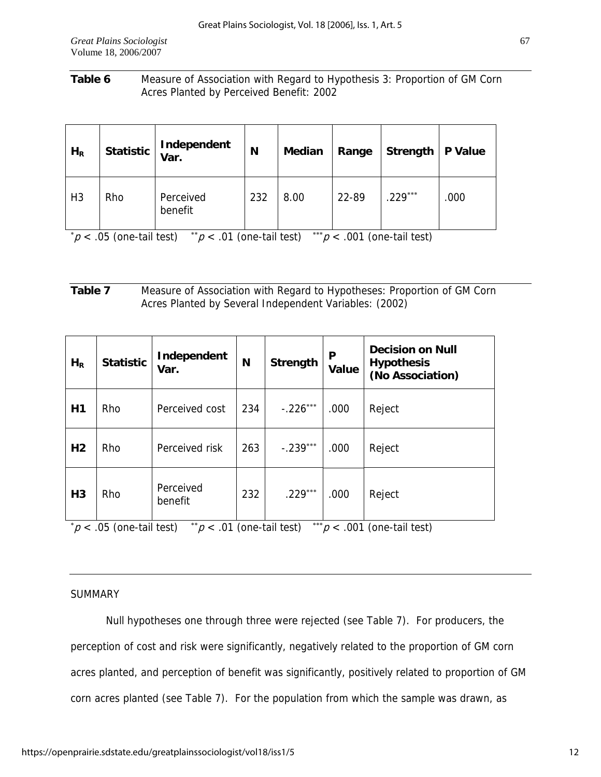## **Table 6** Measure of Association with Regard to Hypothesis 3: Proportion of GM Corn Acres Planted by Perceived Benefit: 2002

| $H_R$          | <b>Statistic</b> | Independent<br>Var.  | N   | Median | Range | Strength | P Value |
|----------------|------------------|----------------------|-----|--------|-------|----------|---------|
| H <sub>3</sub> | Rho              | Perceived<br>benefit | 232 | 8.00   | 22-89 | 229***   | .000    |

 $p$  < .05 (one-tail test)  $p$  < .01 (one-tail test)  $p$  < .001 (one-tail test)

## **Table 7** Measure of Association with Regard to Hypotheses: Proportion of GM Corn Acres Planted by Several Independent Variables: (2002)

| $H_R$          | <b>Statistic</b>          | Independent<br>Var.          | N   | Strength   | P<br>Value | <b>Decision on Null</b><br><b>Hypothesis</b><br>(No Association) |
|----------------|---------------------------|------------------------------|-----|------------|------------|------------------------------------------------------------------|
| H1             | Rho                       | Perceived cost               | 234 | $-.226***$ | .000       | Reject                                                           |
| H <sub>2</sub> | Rho                       | Perceived risk               | 263 | $-.239***$ | .000       | Reject                                                           |
| H <sub>3</sub> | Rho                       | Perceived<br>benefit         | 232 | $.229***$  | .000       | Reject                                                           |
|                | $p$ < .05 (one-tail test) | ** $p$ < .01 (one-tail test) |     | ***        |            | $p < .001$ (one-tail test)                                       |

## SUMMARY

 Null hypotheses one through three were rejected (see Table 7). For producers, the perception of cost and risk were significantly, negatively related to the proportion of GM corn acres planted, and perception of benefit was significantly, positively related to proportion of GM corn acres planted (see Table 7). For the population from which the sample was drawn, as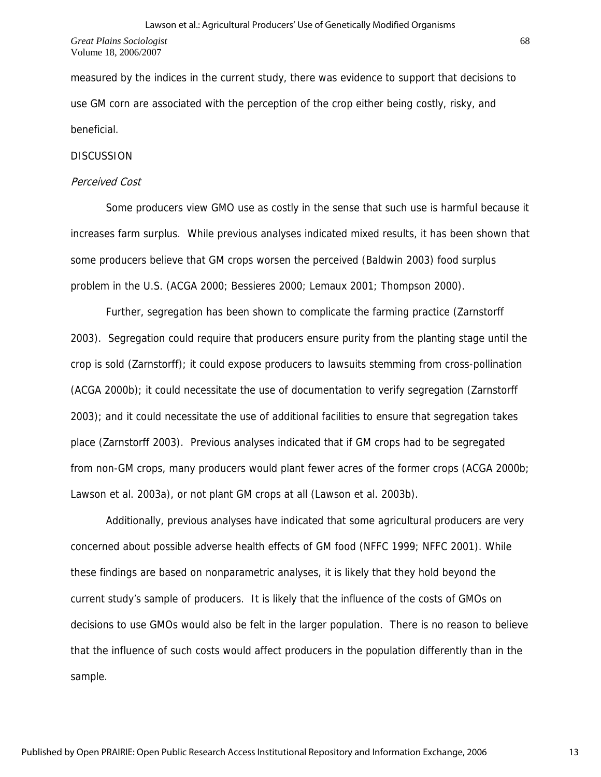measured by the indices in the current study, there was evidence to support that decisions to use GM corn are associated with the perception of the crop either being costly, risky, and beneficial.

#### **DISCUSSION**

#### Perceived Cost

 Some producers view GMO use as costly in the sense that such use is harmful because it increases farm surplus. While previous analyses indicated mixed results, it has been shown that some producers believe that GM crops worsen the perceived (Baldwin 2003) food surplus problem in the U.S. (ACGA 2000; Bessieres 2000; Lemaux 2001; Thompson 2000).

 Further, segregation has been shown to complicate the farming practice (Zarnstorff 2003). Segregation could require that producers ensure purity from the planting stage until the crop is sold (Zarnstorff); it could expose producers to lawsuits stemming from cross-pollination (ACGA 2000b); it could necessitate the use of documentation to verify segregation (Zarnstorff 2003); and it could necessitate the use of additional facilities to ensure that segregation takes place (Zarnstorff 2003). Previous analyses indicated that if GM crops had to be segregated from non-GM crops, many producers would plant fewer acres of the former crops (ACGA 2000b; Lawson et al. 2003a), or not plant GM crops at all (Lawson et al. 2003b).

 Additionally, previous analyses have indicated that some agricultural producers are very concerned about possible adverse health effects of GM food (NFFC 1999; NFFC 2001). While these findings are based on nonparametric analyses, it is likely that they hold beyond the current study's sample of producers. It is likely that the influence of the costs of GMOs on decisions to use GMOs would also be felt in the larger population. There is no reason to believe that the influence of such costs would affect producers in the population differently than in the sample.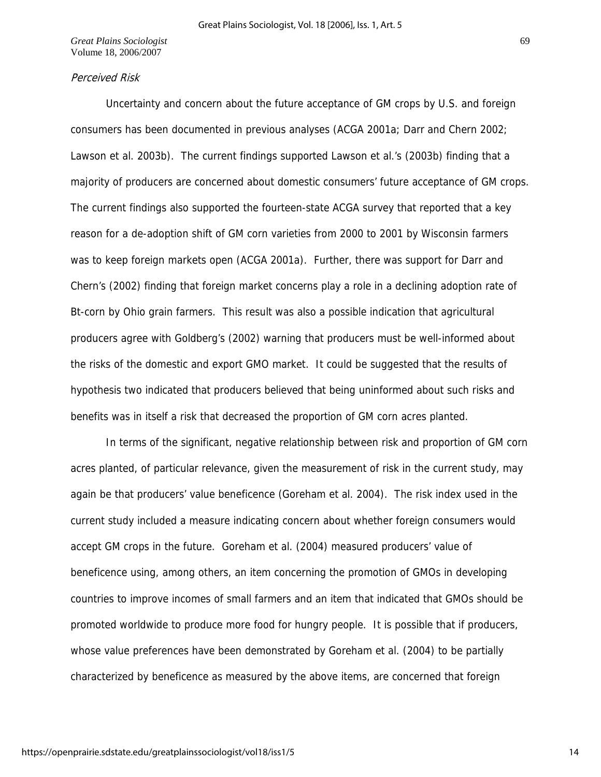## Perceived Risk

 Uncertainty and concern about the future acceptance of GM crops by U.S. and foreign consumers has been documented in previous analyses (ACGA 2001a; Darr and Chern 2002; Lawson et al. 2003b). The current findings supported Lawson et al.'s (2003b) finding that a majority of producers are concerned about domestic consumers' future acceptance of GM crops. The current findings also supported the fourteen-state ACGA survey that reported that a key reason for a de-adoption shift of GM corn varieties from 2000 to 2001 by Wisconsin farmers was to keep foreign markets open (ACGA 2001a). Further, there was support for Darr and Chern's (2002) finding that foreign market concerns play a role in a declining adoption rate of Bt-corn by Ohio grain farmers. This result was also a possible indication that agricultural producers agree with Goldberg's (2002) warning that producers must be well-informed about the risks of the domestic and export GMO market. It could be suggested that the results of hypothesis two indicated that producers believed that being uninformed about such risks and benefits was in itself a risk that decreased the proportion of GM corn acres planted.

 In terms of the significant, negative relationship between risk and proportion of GM corn acres planted, of particular relevance, given the measurement of risk in the current study, may again be that producers' value beneficence (Goreham et al. 2004). The risk index used in the current study included a measure indicating concern about whether foreign consumers would accept GM crops in the future. Goreham et al. (2004) measured producers' value of beneficence using, among others, an item concerning the promotion of GMOs in developing countries to improve incomes of small farmers and an item that indicated that GMOs should be promoted worldwide to produce more food for hungry people. It is possible that if producers, whose value preferences have been demonstrated by Goreham et al. (2004) to be partially characterized by beneficence as measured by the above items, are concerned that foreign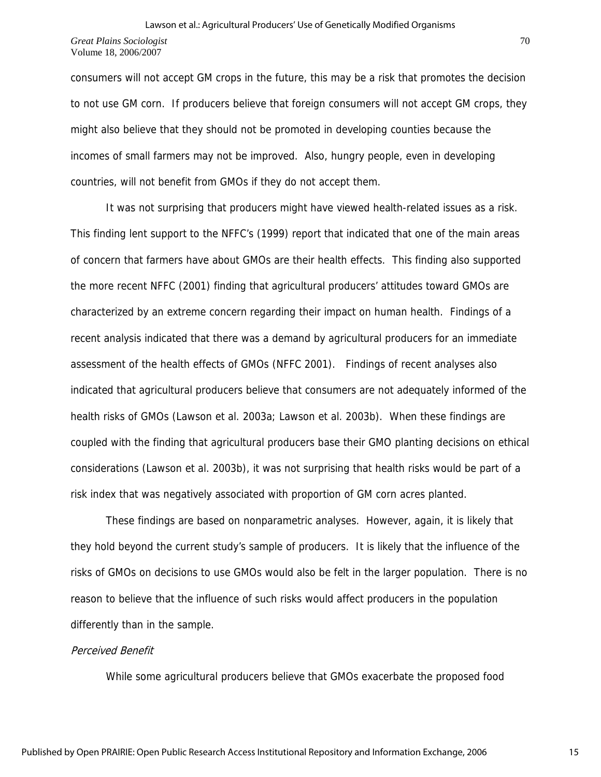consumers will not accept GM crops in the future, this may be a risk that promotes the decision to not use GM corn. If producers believe that foreign consumers will not accept GM crops, they might also believe that they should not be promoted in developing counties because the incomes of small farmers may not be improved. Also, hungry people, even in developing countries, will not benefit from GMOs if they do not accept them.

 It was not surprising that producers might have viewed health-related issues as a risk. This finding lent support to the NFFC's (1999) report that indicated that one of the main areas of concern that farmers have about GMOs are their health effects. This finding also supported the more recent NFFC (2001) finding that agricultural producers' attitudes toward GMOs are characterized by an extreme concern regarding their impact on human health. Findings of a recent analysis indicated that there was a demand by agricultural producers for an immediate assessment of the health effects of GMOs (NFFC 2001). Findings of recent analyses also indicated that agricultural producers believe that consumers are not adequately informed of the health risks of GMOs (Lawson et al. 2003a; Lawson et al. 2003b). When these findings are coupled with the finding that agricultural producers base their GMO planting decisions on ethical considerations (Lawson et al. 2003b), it was not surprising that health risks would be part of a risk index that was negatively associated with proportion of GM corn acres planted.

 These findings are based on nonparametric analyses. However, again, it is likely that they hold beyond the current study's sample of producers. It is likely that the influence of the risks of GMOs on decisions to use GMOs would also be felt in the larger population. There is no reason to believe that the influence of such risks would affect producers in the population differently than in the sample.

## Perceived Benefit

While some agricultural producers believe that GMOs exacerbate the proposed food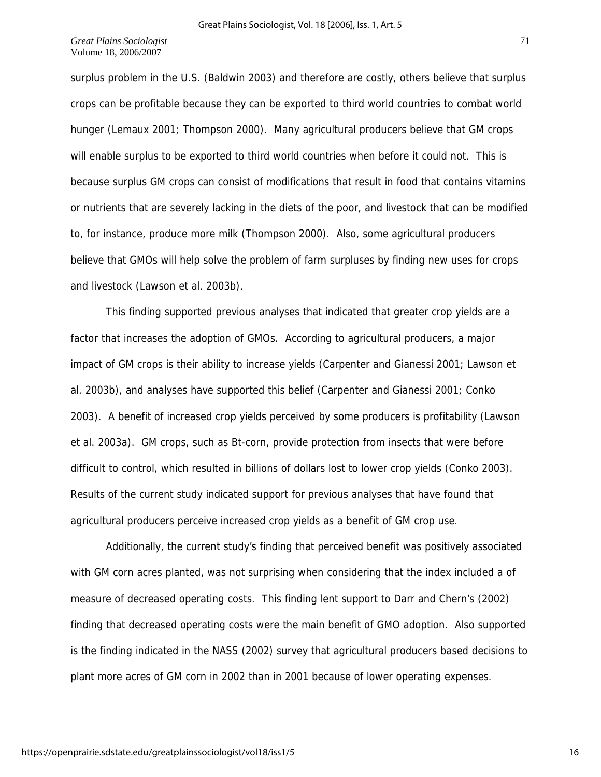surplus problem in the U.S. (Baldwin 2003) and therefore are costly, others believe that surplus crops can be profitable because they can be exported to third world countries to combat world hunger (Lemaux 2001; Thompson 2000). Many agricultural producers believe that GM crops will enable surplus to be exported to third world countries when before it could not. This is because surplus GM crops can consist of modifications that result in food that contains vitamins or nutrients that are severely lacking in the diets of the poor, and livestock that can be modified to, for instance, produce more milk (Thompson 2000). Also, some agricultural producers believe that GMOs will help solve the problem of farm surpluses by finding new uses for crops and livestock (Lawson et al. 2003b).

 This finding supported previous analyses that indicated that greater crop yields are a factor that increases the adoption of GMOs. According to agricultural producers, a major impact of GM crops is their ability to increase yields (Carpenter and Gianessi 2001; Lawson et al. 2003b), and analyses have supported this belief (Carpenter and Gianessi 2001; Conko 2003). A benefit of increased crop yields perceived by some producers is profitability (Lawson et al. 2003a). GM crops, such as Bt-corn, provide protection from insects that were before difficult to control, which resulted in billions of dollars lost to lower crop yields (Conko 2003). Results of the current study indicated support for previous analyses that have found that agricultural producers perceive increased crop yields as a benefit of GM crop use.

 Additionally, the current study's finding that perceived benefit was positively associated with GM corn acres planted, was not surprising when considering that the index included a of measure of decreased operating costs. This finding lent support to Darr and Chern's (2002) finding that decreased operating costs were the main benefit of GMO adoption. Also supported is the finding indicated in the NASS (2002) survey that agricultural producers based decisions to plant more acres of GM corn in 2002 than in 2001 because of lower operating expenses.

16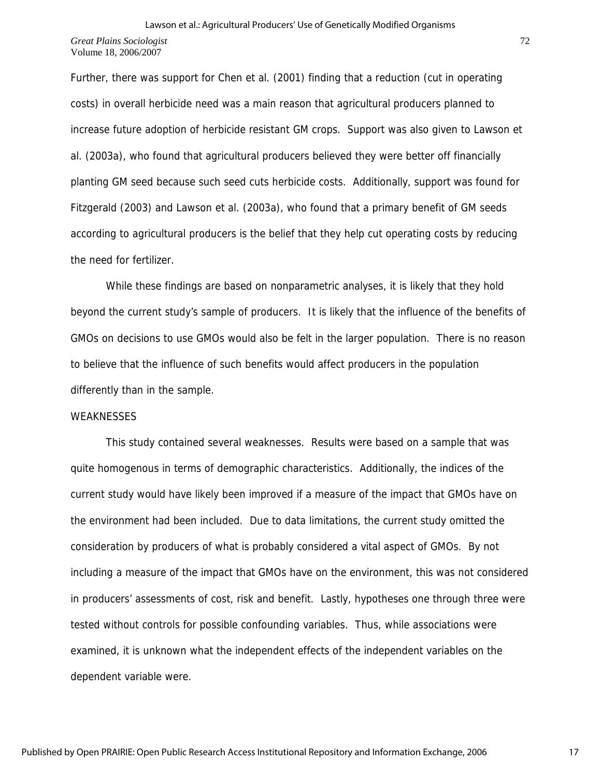Further, there was support for Chen et al. (2001) finding that a reduction (cut in operating costs) in overall herbicide need was a main reason that agricultural producers planned to increase future adoption of herbicide resistant GM crops. Support was also given to Lawson et al. (2003a), who found that agricultural producers believed they were better off financially planting GM seed because such seed cuts herbicide costs. Additionally, support was found for Fitzgerald (2003) and Lawson et al. (2003a), who found that a primary benefit of GM seeds according to agricultural producers is the belief that they help cut operating costs by reducing the need for fertilizer.

 While these findings are based on nonparametric analyses, it is likely that they hold beyond the current study's sample of producers. It is likely that the influence of the benefits of GMOs on decisions to use GMOs would also be felt in the larger population. There is no reason to believe that the influence of such benefits would affect producers in the population differently than in the sample.

#### WEAKNESSES

 This study contained several weaknesses. Results were based on a sample that was quite homogenous in terms of demographic characteristics. Additionally, the indices of the current study would have likely been improved if a measure of the impact that GMOs have on the environment had been included. Due to data limitations, the current study omitted the consideration by producers of what is probably considered a vital aspect of GMOs. By not including a measure of the impact that GMOs have on the environment, this was not considered in producers' assessments of cost, risk and benefit. Lastly, hypotheses one through three were tested without controls for possible confounding variables. Thus, while associations were examined, it is unknown what the independent effects of the independent variables on the dependent variable were.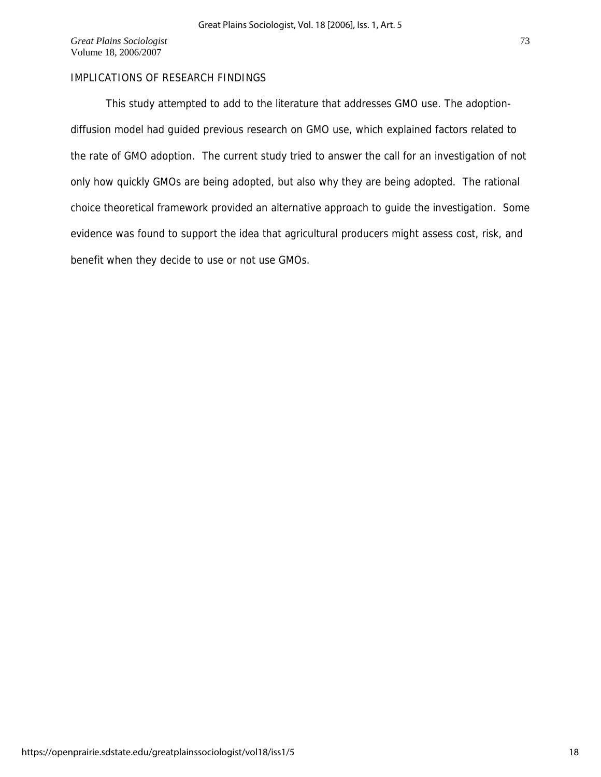## IMPLICATIONS OF RESEARCH FINDINGS

 This study attempted to add to the literature that addresses GMO use. The adoptiondiffusion model had guided previous research on GMO use, which explained factors related to the rate of GMO adoption. The current study tried to answer the call for an investigation of not only how quickly GMOs are being adopted, but also why they are being adopted. The rational choice theoretical framework provided an alternative approach to guide the investigation. Some evidence was found to support the idea that agricultural producers might assess cost, risk, and benefit when they decide to use or not use GMOs.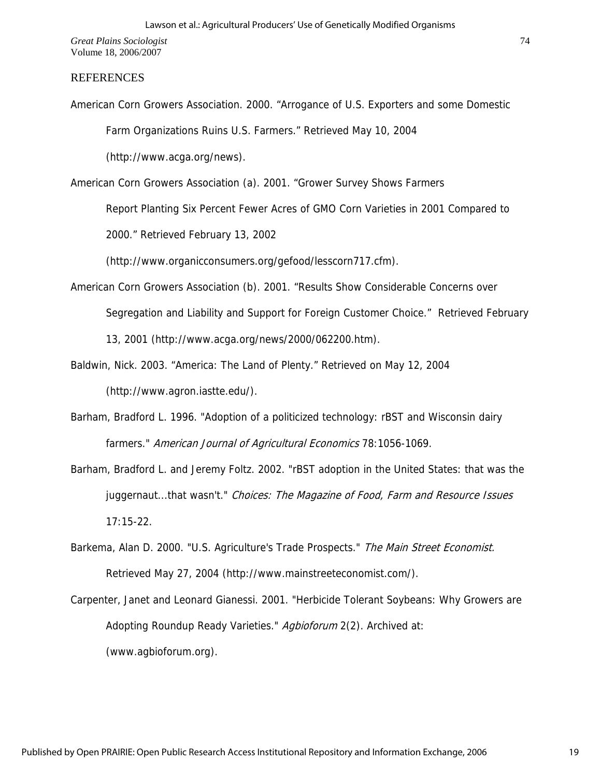#### REFERENCES

American Corn Growers Association. 2000. "Arrogance of U.S. Exporters and some Domestic Farm Organizations Ruins U.S. Farmers." Retrieved May 10, 2004 (http://www.acga.org/news).

American Corn Growers Association (a). 2001. "Grower Survey Shows Farmers

Report Planting Six Percent Fewer Acres of GMO Corn Varieties in 2001 Compared to

2000." Retrieved February 13, 2002

(http://www.organicconsumers.org/gefood/lesscorn717.cfm).

- American Corn Growers Association (b). 2001. "Results Show Considerable Concerns over Segregation and Liability and Support for Foreign Customer Choice." Retrieved February 13, 2001 (http://www.acga.org/news/2000/062200.htm).
- Baldwin, Nick. 2003. "America: The Land of Plenty." Retrieved on May 12, 2004 (http://www.agron.iastte.edu/).
- Barham, Bradford L. 1996. "Adoption of a politicized technology: rBST and Wisconsin dairy farmers." American Journal of Agricultural Economics 78:1056-1069.
- Barham, Bradford L. and Jeremy Foltz. 2002. "rBST adoption in the United States: that was the juggernaut...that wasn't." Choices: The Magazine of Food, Farm and Resource Issues 17:15-22.
- Barkema, Alan D. 2000. "U.S. Agriculture's Trade Prospects." The Main Street Economist. Retrieved May 27, 2004 (http://www.mainstreeteconomist.com/).
- Carpenter, Janet and Leonard Gianessi. 2001. "Herbicide Tolerant Soybeans: Why Growers are Adopting Roundup Ready Varieties." Agbioforum 2(2). Archived at: (www.agbioforum.org).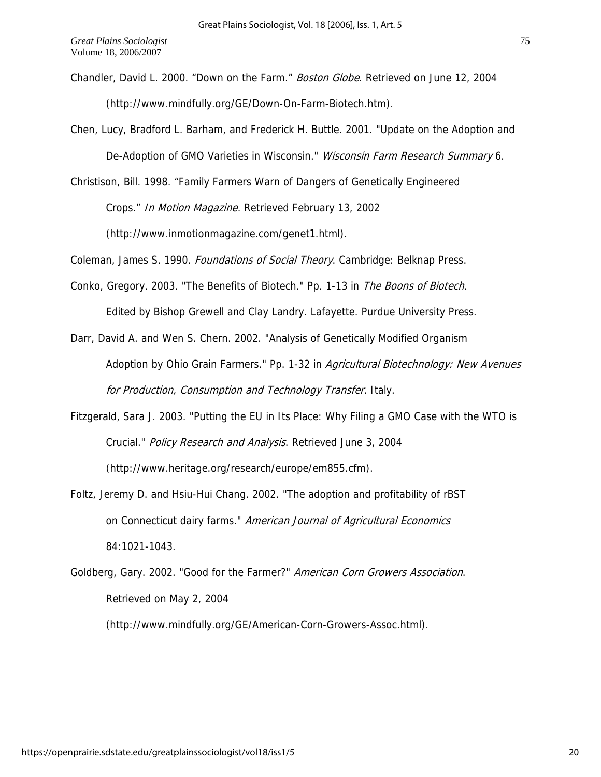- Chandler, David L. 2000. "Down on the Farm." Boston Globe. Retrieved on June 12, 2004 (http://www.mindfully.org/GE/Down-On-Farm-Biotech.htm).
- Chen, Lucy, Bradford L. Barham, and Frederick H. Buttle. 2001. "Update on the Adoption and De-Adoption of GMO Varieties in Wisconsin." Wisconsin Farm Research Summary 6.
- Christison, Bill. 1998. "Family Farmers Warn of Dangers of Genetically Engineered

Crops." In Motion Magazine. Retrieved February 13, 2002

(http://www.inmotionmagazine.com/genet1.html).

Coleman, James S. 1990. Foundations of Social Theory. Cambridge: Belknap Press.

Conko, Gregory. 2003. "The Benefits of Biotech." Pp. 1-13 in The Boons of Biotech. Edited by Bishop Grewell and Clay Landry. Lafayette. Purdue University Press.

Darr, David A. and Wen S. Chern. 2002. "Analysis of Genetically Modified Organism Adoption by Ohio Grain Farmers." Pp. 1-32 in Agricultural Biotechnology: New Avenues for Production, Consumption and Technology Transfer. Italy.

- Fitzgerald, Sara J. 2003. "Putting the EU in Its Place: Why Filing a GMO Case with the WTO is Crucial." Policy Research and Analysis. Retrieved June 3, 2004 (http://www.heritage.org/research/europe/em855.cfm).
- Foltz, Jeremy D. and Hsiu-Hui Chang. 2002. "The adoption and profitability of rBST on Connecticut dairy farms." American Journal of Agricultural Economics 84:1021-1043.
- Goldberg, Gary. 2002. "Good for the Farmer?" American Corn Growers Association. Retrieved on May 2, 2004

(http://www.mindfully.org/GE/American-Corn-Growers-Assoc.html).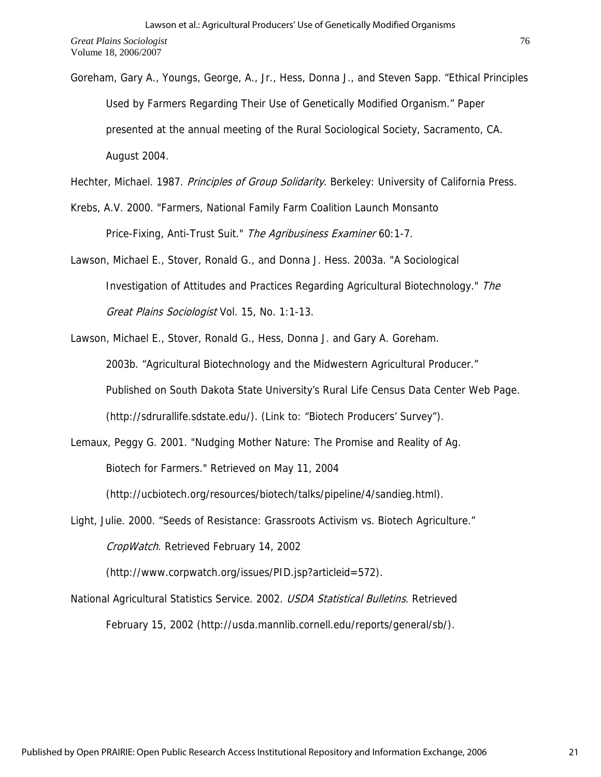Goreham, Gary A., Youngs, George, A., Jr., Hess, Donna J., and Steven Sapp. "Ethical Principles Used by Farmers Regarding Their Use of Genetically Modified Organism." Paper presented at the annual meeting of the Rural Sociological Society, Sacramento, CA. August 2004.

Hechter, Michael. 1987. Principles of Group Solidarity. Berkeley: University of California Press.

- Krebs, A.V. 2000. "Farmers, National Family Farm Coalition Launch Monsanto Price-Fixing, Anti-Trust Suit." The Agribusiness Examiner 60:1-7.
- Lawson, Michael E., Stover, Ronald G., and Donna J. Hess. 2003a. "A Sociological Investigation of Attitudes and Practices Regarding Agricultural Biotechnology." The Great Plains Sociologist Vol. 15, No. 1:1-13.
- Lawson, Michael E., Stover, Ronald G., Hess, Donna J. and Gary A. Goreham. 2003b. "Agricultural Biotechnology and the Midwestern Agricultural Producer." Published on South Dakota State University's Rural Life Census Data Center Web Page. (http://sdrurallife.sdstate.edu/). (Link to: "Biotech Producers' Survey").
- Lemaux, Peggy G. 2001. "Nudging Mother Nature: The Promise and Reality of Ag. Biotech for Farmers." Retrieved on May 11, 2004 (http://ucbiotech.org/resources/biotech/talks/pipeline/4/sandieg.html).
- Light, Julie. 2000. "Seeds of Resistance: Grassroots Activism vs. Biotech Agriculture." CropWatch. Retrieved February 14, 2002

(http://www.corpwatch.org/issues/PID.jsp?articleid=572).

National Agricultural Statistics Service. 2002. USDA Statistical Bulletins. Retrieved February 15, 2002 (http://usda.mannlib.cornell.edu/reports/general/sb/).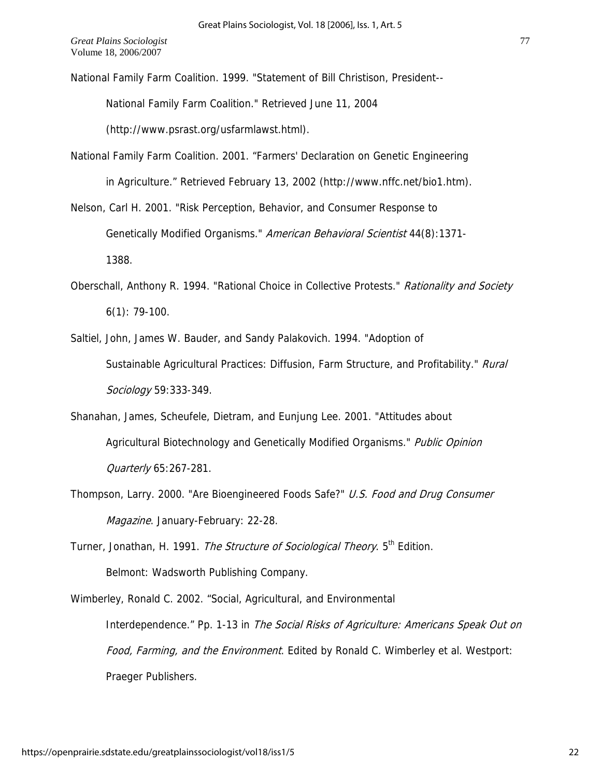National Family Farm Coalition. 1999. "Statement of Bill Christison, President--

National Family Farm Coalition." Retrieved June 11, 2004

(http://www.psrast.org/usfarmlawst.html).

National Family Farm Coalition. 2001. "Farmers' Declaration on Genetic Engineering in Agriculture." Retrieved February 13, 2002 (http://www.nffc.net/bio1.htm).

Nelson, Carl H. 2001. "Risk Perception, Behavior, and Consumer Response to Genetically Modified Organisms." American Behavioral Scientist 44(8):1371-1388.

- Oberschall, Anthony R. 1994. "Rational Choice in Collective Protests." Rationality and Society 6(1): 79-100.
- Saltiel, John, James W. Bauder, and Sandy Palakovich. 1994. "Adoption of Sustainable Agricultural Practices: Diffusion, Farm Structure, and Profitability." Rural Sociology 59:333-349.
- Shanahan, James, Scheufele, Dietram, and Eunjung Lee. 2001. "Attitudes about Agricultural Biotechnology and Genetically Modified Organisms." Public Opinion Quarterly 65:267-281.
- Thompson, Larry. 2000. "Are Bioengineered Foods Safe?" U.S. Food and Drug Consumer Magazine. January-February: 22-28.
- Turner, Jonathan, H. 1991. The Structure of Sociological Theory. 5<sup>th</sup> Edition. Belmont: Wadsworth Publishing Company.

Interdependence." Pp. 1-13 in The Social Risks of Agriculture: Americans Speak Out on Wimberley, Ronald C. 2002. "Social, Agricultural, and Environmental Food, Farming, and the Environment. Edited by Ronald C. Wimberley et al. Westport: Praeger Publishers.